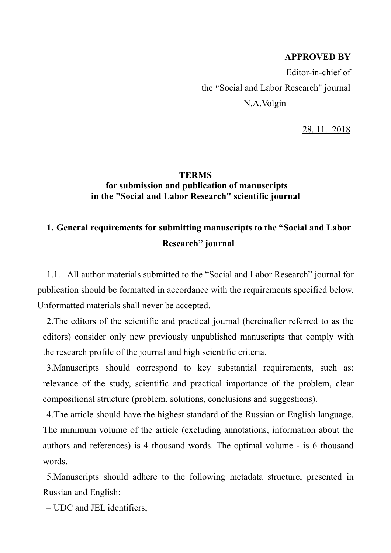### **APPROVED BY**

Editor-in-chief of the **"**Social and Labor Research" journal N.A.Volgin

28. 11. 2018

## **TERMS for submission and publication of manuscripts in the "Social and Labor Research" scientific journal**

# **1. General requirements for submitting manuscripts to the "Social and Labor Research" journal**

1.1. All author materials submitted to the "Social and Labor Research" journal for publication should be formatted in accordance with the requirements specified below. Unformatted materials shall never be accepted.

2.The editors of the scientific and practical journal (hereinafter referred to as the editors) consider only new previously unpublished manuscripts that comply with the research profile of the journal and high scientific criteria.

3.Manuscripts should correspond to key substantial requirements, such as: relevance of the study, scientific and practical importance of the problem, clear compositional structure (problem, solutions, conclusions and suggestions).

4.The article should have the highest standard of the Russian or English language. The minimum volume of the article (excluding annotations, information about the authors and references) is 4 thousand words. The optimal volume - is 6 thousand words.

5.Manuscripts should adhere to the following metadata structure, presented in Russian and English:

– UDC and JEL identifiers;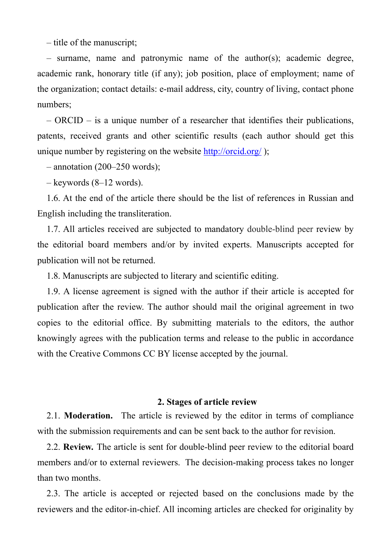– title of the manuscript;

– surname, name and patronymic name of the author(s); academic degree, academic rank, honorary title (if any); job position, place of employment; name of the organization; contact details: e-mail address, city, country of living, contact phone numbers;

– ORCID – is a unique number of a researcher that identifies their publications, patents, received grants and other scientific results (each author should get this unique number by registering on the website <http://orcid.org/>);

 $-$  annotation (200–250 words);

– keywords (8–12 words).

1.6. At the end of the article there should be the list of references in Russian and English including the transliteration.

1.7. All articles received are subjected to mandatory double-blind peer review by the editorial board members and/or by invited experts. Manuscripts accepted for publication will not be returned.

1.8. Manuscripts are subjected to literary and scientific editing.

1.9. A license agreement is signed with the author if their article is accepted for publication after the review. The author should mail the original agreement in two copies to the editorial office. By submitting materials to the editors, the author knowingly agrees with the publication terms and release to the public in accordance with the Creative Commons CC BY license accepted by the journal.

#### **2. Stages of article review**

2.1. **Moderation.** The article is reviewed by the editor in terms of compliance with the submission requirements and can be sent back to the author for revision.

2.2. **Review***.* The article is sent for double-blind peer review to the editorial board members and/or to external reviewers. The decision-making process takes no longer than two months.

2.3. The article is accepted or rejected based on the conclusions made by the reviewers and the editor-in-chief. All incoming articles are checked for originality by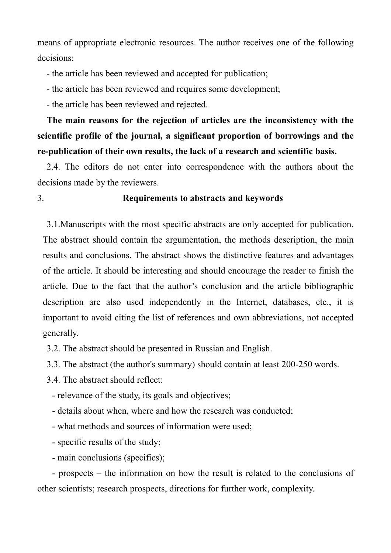means of appropriate electronic resources. The author receives one of the following decisions:

- the article has been reviewed and accepted for publication;
- the article has been reviewed and requires some development;
- the article has been reviewed and rejected.

**The main reasons for the rejection of articles are the inconsistency with the scientific profile of the journal, a significant proportion of borrowings and the re-publication of their own results, the lack of a research and scientific basis.** 

2.4. The editors do not enter into correspondence with the authors about the decisions made by the reviewers.

## 3. **Requirements to abstracts and keywords**

3.1.Manuscripts with the most specific abstracts are only accepted for publication. The abstract should contain the argumentation, the methods description, the main results and conclusions. The abstract shows the distinctive features and advantages of the article. It should be interesting and should encourage the reader to finish the article. Due to the fact that the author's conclusion and the article bibliographic description are also used independently in the Internet, databases, etc., it is important to avoid citing the list of references and own abbreviations, not accepted generally.

3.2. The abstract should be presented in Russian and English.

3.3. The abstract (the author's summary) should contain at least 200-250 words.

3.4. The abstract should reflect:

- relevance of the study, its goals and objectives;

- details about when, where and how the research was conducted;

- what methods and sources of information were used;
- specific results of the study;
- main conclusions (specifics);

- prospects – the information on how the result is related to the conclusions of other scientists; research prospects, directions for further work, complexity.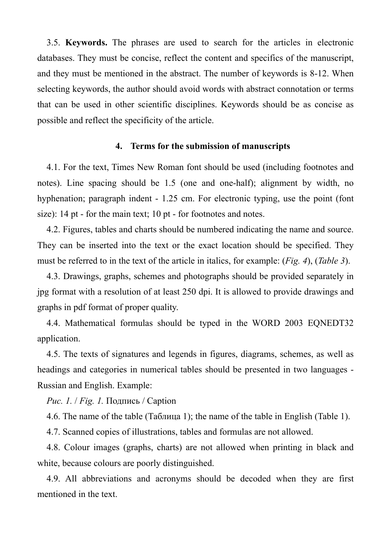3.5. **Keywords.** The phrases are used to search for the articles in electronic databases. They must be concise, reflect the content and specifics of the manuscript, and they must be mentioned in the abstract. The number of keywords is 8-12. When selecting keywords, the author should avoid words with abstract connotation or terms that can be used in other scientific disciplines. Keywords should be as concise as possible and reflect the specificity of the article.

#### **4. Terms for the submission of manuscripts**

4.1. For the text, Times New Roman font should be used (including footnotes and notes). Line spacing should be 1.5 (one and one-half); alignment by width, no hyphenation; paragraph indent - 1.25 cm. For electronic typing, use the point (font size): 14 pt - for the main text; 10 pt - for footnotes and notes.

4.2. Figures, tables and charts should be numbered indicating the name and source. They can be inserted into the text or the exact location should be specified. They must be referred to in the text of the article in italics, for example: (*Fig. 4*), (*Table 3*).

4.3. Drawings, graphs, schemes and photographs should be provided separately in jpg format with a resolution of at least 250 dpi. It is allowed to provide drawings and graphs in pdf format of proper quality.

4.4. Mathematical formulas should be typed in the WORD 2003 EQNEDT32 application.

4.5. The texts of signatures and legends in figures, diagrams, schemes, as well as headings and categories in numerical tables should be presented in two languages - Russian and English. Example:

*Рис. 1.* / *Fig. 1.* Подпись / Caption

4.6. The name of the table (Таблица 1); the name of the table in English (Table 1).

4.7. Scanned copies of illustrations, tables and formulas are not allowed.

4.8. Colour images (graphs, charts) are not allowed when printing in black and white, because colours are poorly distinguished.

4.9. All abbreviations and acronyms should be decoded when they are first mentioned in the text.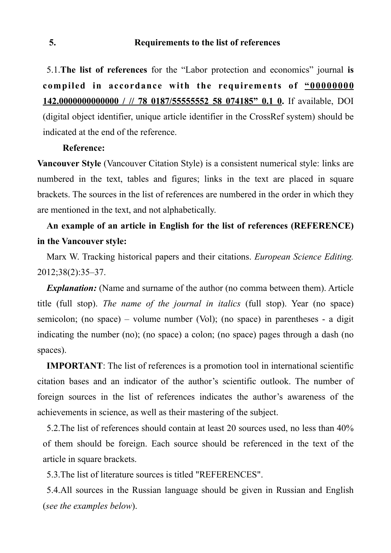5.1.**The list of references** for the "Labor protection and economics" journal **is compiled in accordance with the requirements of "00000000 142.0000000000000 / // 78 0187/55555552 58 074185" 0.1 0.** If available, DOI (digital object identifier, unique article identifier in the CrossRef system) should be indicated at the end of the reference.

#### **Reference:**

**Vancouver Style** (Vancouver Citation Style) is a consistent numerical style: links are numbered in the text, tables and figures; links in the text are placed in square brackets. The sources in the list of references are numbered in the order in which they are mentioned in the text, and not alphabetically.

# **An example of an article in English for the list of references (REFERENCE) in the Vancouver style:**

Marx W. Tracking historical papers and their citations. *European Science Editing.* 2012;38(2):35–37.

*Explanation:* (Name and surname of the author (no comma between them). Article title (full stop). *The name of the journal in italics* (full stop). Year (no space) semicolon; (no space) – volume number (Vol); (no space) in parentheses - a digit indicating the number (no); (no space) a colon; (no space) pages through a dash (no spaces).

**IMPORTANT**: The list of references is a promotion tool in international scientific citation bases and an indicator of the author's scientific outlook. The number of foreign sources in the list of references indicates the author's awareness of the achievements in science, as well as their mastering of the subject.

5.2.The list of references should contain at least 20 sources used, no less than 40% of them should be foreign. Each source should be referenced in the text of the article in square brackets.

5.3.The list of literature sources is titled "REFERENCES".

5.4.All sources in the Russian language should be given in Russian and English (*see the examples below*).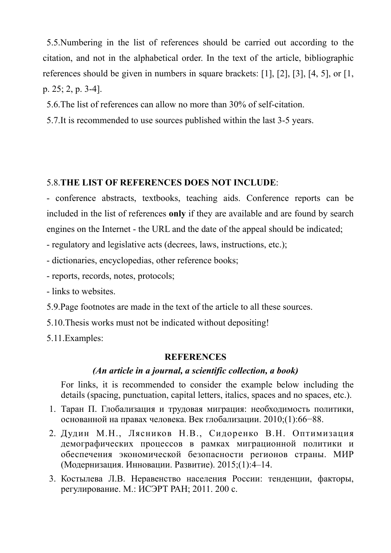5.5.Numbering in the list of references should be carried out according to the citation, and not in the alphabetical order. In the text of the article, bibliographic references should be given in numbers in square brackets: [1], [2], [3], [4, 5], or [1, p. 25; 2, p. 3-4].

5.6.The list of references can allow no more than 30% of self-citation.

5.7.It is recommended to use sources published within the last 3-5 years.

# 5.8.**THE LIST OF REFERENCES DOES NOT INCLUDE**:

- conference abstracts, textbooks, teaching aids. Conference reports can be included in the list of references **only** if they are available and are found by search engines on the Internet - the URL and the date of the appeal should be indicated;

- regulatory and legislative acts (decrees, laws, instructions, etc.);

- dictionaries, encyclopedias, other reference books;

- reports, records, notes, protocols;

- links to websites.

5.9.Page footnotes are made in the text of the article to all these sources.

5.10.Thesis works must not be indicated without depositing!

5.11.Examples:

## **REFERENCES**

# *(An article in a journal, a scientific collection, a book)*

For links, it is recommended to consider the example below including the details (spacing, punctuation, capital letters, italics, spaces and no spaces, etc.).

- 1. Таран П. Глобализация и трудовая миграция: необходимость политики, основанной на правах человека. Век глобализации. 2010;(1):66−88.
- 2. Дудин М.Н., Лясников Н.В., Сидоренко В.Н. Оптимизация демографических процессов в рамках миграционной политики и обеспечения экономической безопасности регионов страны. МИР (Модернизация. Инновации. Развитие). 2015;(1):4–14.
- 3. Костылева Л.В. Неравенство населения России: тенденции, факторы, регулирование. М.: ИСЭРТ РАН; 2011. 200 с.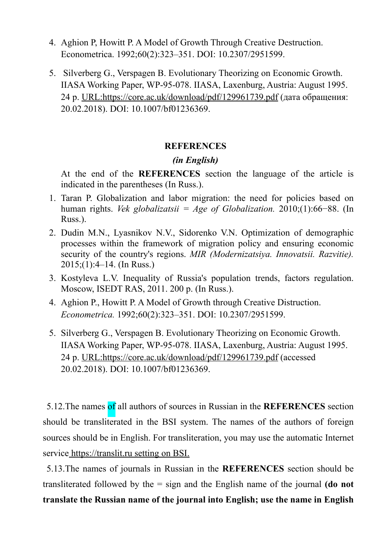- 4. Aghion P, Howitt P. A Model of Growth Through Creative Destruction. Econometrica. 1992;60(2):323–351. DOI: 10.2307/2951599.
- 5. Silverberg G., Verspagen B. Evolutionary Theorizing on Economic Growth. IIASA Working Paper, WP-95-078. IIASA, Laxenburg, Austria: August 1995. 24 p. URL:https://core.ac.uk/download/pdf/129961739.pdf (дата обращения: 20.02.2018). DOI: 10.1007/bf01236369.

## **REFERENCES**

## *(in English)*

At the end of the **REFERENCES** section the language of the article is indicated in the parentheses (In Russ.).

- 1. Taran P. Globalization and labor migration: the need for policies based on human rights. *Vek globalizatsii = Age of Globalization.* 2010;(1):66−88. (In Russ.).
- 2. Dudin M.N., Lyasnikov N.V., Sidorenko V.N. Optimization of demographic processes within the framework of migration policy and ensuring economic security of the country's regions. *MIR (Modernizatsiya. Innovatsii. Razvitie).* 2015;(1):4–14. (In Russ.)
- 3. Kostyleva L.V. Inequality of Russia's population trends, factors regulation. Moscow, ISEDT RAS, 2011. 200 р. (In Russ.).
- 4. Aghion P., Howitt P. A Model of Growth through Creative Distruction. *Econometrica.* 1992;60(2):323–351. DOI: 10.2307/2951599.
- 5. Silverberg G., Verspagen B. Evolutionary Theorizing on Economic Growth. IIASA Working Paper, WP-95-078. IIASA, Laxenburg, Austria: August 1995. 24 p. URL:https://core.ac.uk/download/pdf/129961739.pdf (accessed 20.02.2018). DOI: 10.1007/bf01236369.

5.12.The names of all authors of sources in Russian in the **REFERENCES** section should be transliterated in the BSI system. The names of the authors of foreign sources should be in English. For transliteration, you may use the automatic Internet service https://translit.ru setting on BSI.

5.13.The names of journals in Russian in the **REFERENCES** section should be transliterated followed by the = sign and the English name of the journal **(do not translate the Russian name of the journal into English; use the name in English**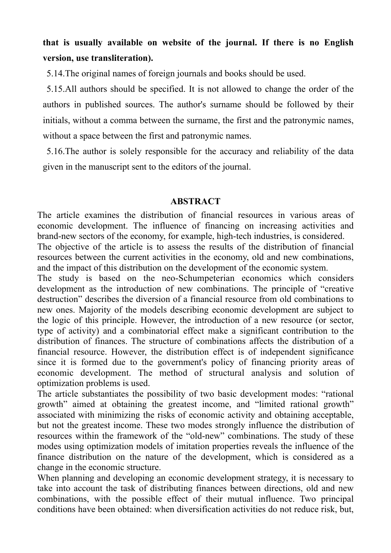# **that is usually available on website of the journal. If there is no English version, use transliteration).**

5.14.The original names of foreign journals and books should be used.

5.15.All authors should be specified. It is not allowed to change the order of the authors in published sources. The author's surname should be followed by their initials, without a comma between the surname, the first and the patronymic names, without a space between the first and patronymic names.

5.16.The author is solely responsible for the accuracy and reliability of the data given in the manuscript sent to the editors of the journal.

## **ABSTRACT**

The article examines the distribution of financial resources in various areas of economic development. The influence of financing on increasing activities and brand-new sectors of the economy, for example, high-tech industries, is considered.

The objective of the article is to assess the results of the distribution of financial resources between the current activities in the economy, old and new combinations, and the impact of this distribution on the development of the economic system.

The study is based on the neo-Schumpeterian economics which considers development as the introduction of new combinations. The principle of "creative destruction" describes the diversion of a financial resource from old combinations to new ones. Majority of the models describing economic development are subject to the logic of this principle. However, the introduction of a new resource (or sector, type of activity) and a combinatorial effect make a significant contribution to the distribution of finances. The structure of combinations affects the distribution of a financial resource. However, the distribution effect is of independent significance since it is formed due to the government's policy of financing priority areas of economic development. The method of structural analysis and solution of optimization problems is used.

The article substantiates the possibility of two basic development modes: "rational growth" aimed at obtaining the greatest income, and "limited rational growth" associated with minimizing the risks of economic activity and obtaining acceptable, but not the greatest income. These two modes strongly influence the distribution of resources within the framework of the "old-new" combinations. The study of these modes using optimization models of imitation properties reveals the influence of the finance distribution on the nature of the development, which is considered as a change in the economic structure.

When planning and developing an economic development strategy, it is necessary to take into account the task of distributing finances between directions, old and new combinations, with the possible effect of their mutual influence. Two principal conditions have been obtained: when diversification activities do not reduce risk, but,